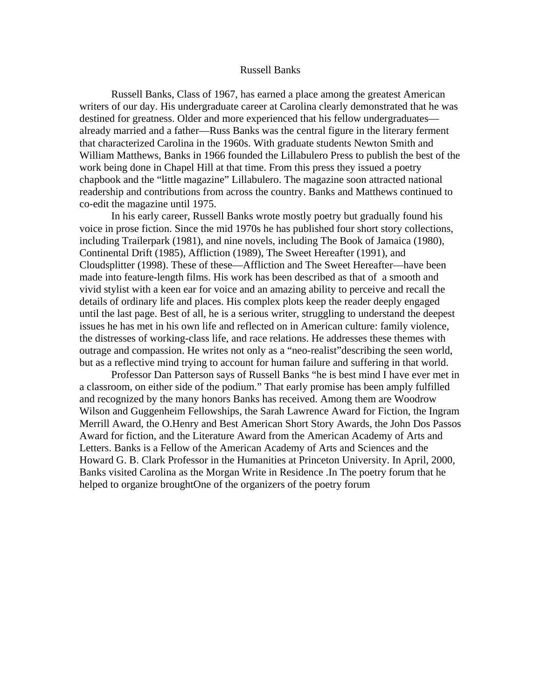#### Russell Banks

Russell Banks, Class of 1967, has earned a place among the greatest American writers of our day. His undergraduate career at Carolina clearly demonstrated that he was destined for greatness. Older and more experienced that his fellow undergraduates already married and a father—Russ Banks was the central figure in the literary ferment that characterized Carolina in the 1960s. With graduate students Newton Smith and William Matthews, Banks in 1966 founded the Lillabulero Press to publish the best of the work being done in Chapel Hill at that time. From this press they issued a poetry chapbook and the "little magazine" Lillabulero. The magazine soon attracted national readership and contributions from across the country. Banks and Matthews continued to co-edit the magazine until 1975.

In his early career, Russell Banks wrote mostly poetry but gradually found his voice in prose fiction. Since the mid 1970s he has published four short story collections, including Trailerpark (1981), and nine novels, including The Book of Jamaica (1980), Continental Drift (1985), Affliction (1989), The Sweet Hereafter (1991), and Cloudsplitter (1998). These of these—Affliction and The Sweet Hereafter—have been made into feature-length films. His work has been described as that of a smooth and vivid stylist with a keen ear for voice and an amazing ability to perceive and recall the details of ordinary life and places. His complex plots keep the reader deeply engaged until the last page. Best of all, he is a serious writer, struggling to understand the deepest issues he has met in his own life and reflected on in American culture: family violence, the distresses of working-class life, and race relations. He addresses these themes with outrage and compassion. He writes not only as a "neo-realist"describing the seen world, but as a reflective mind trying to account for human failure and suffering in that world.

Professor Dan Patterson says of Russell Banks "he is best mind I have ever met in a classroom, on either side of the podium." That early promise has been amply fulfilled and recognized by the many honors Banks has received. Among them are Woodrow Wilson and Guggenheim Fellowships, the Sarah Lawrence Award for Fiction, the Ingram Merrill Award, the O.Henry and Best American Short Story Awards, the John Dos Passos Award for fiction, and the Literature Award from the American Academy of Arts and Letters. Banks is a Fellow of the American Academy of Arts and Sciences and the Howard G. B. Clark Professor in the Humanities at Princeton University. In April, 2000, Banks visited Carolina as the Morgan Write in Residence .In The poetry forum that he helped to organize broughtOne of the organizers of the poetry forum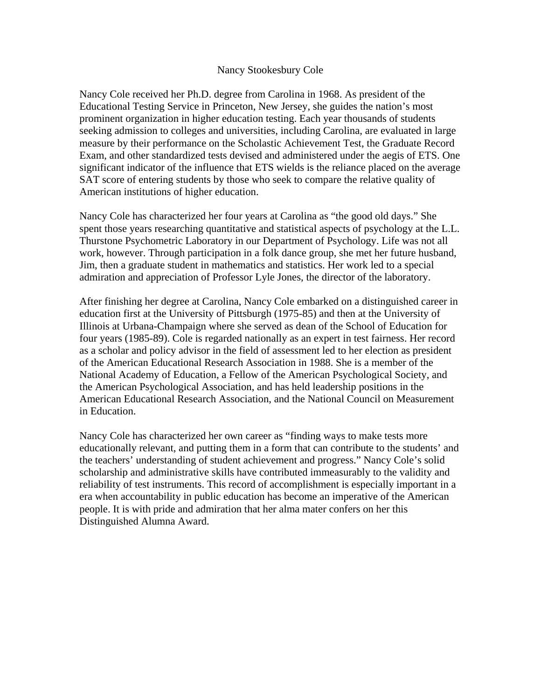### Nancy Stookesbury Cole

Nancy Cole received her Ph.D. degree from Carolina in 1968. As president of the Educational Testing Service in Princeton, New Jersey, she guides the nation's most prominent organization in higher education testing. Each year thousands of students seeking admission to colleges and universities, including Carolina, are evaluated in large measure by their performance on the Scholastic Achievement Test, the Graduate Record Exam, and other standardized tests devised and administered under the aegis of ETS. One significant indicator of the influence that ETS wields is the reliance placed on the average SAT score of entering students by those who seek to compare the relative quality of American institutions of higher education.

Nancy Cole has characterized her four years at Carolina as "the good old days." She spent those years researching quantitative and statistical aspects of psychology at the L.L. Thurstone Psychometric Laboratory in our Department of Psychology. Life was not all work, however. Through participation in a folk dance group, she met her future husband, Jim, then a graduate student in mathematics and statistics. Her work led to a special admiration and appreciation of Professor Lyle Jones, the director of the laboratory.

After finishing her degree at Carolina, Nancy Cole embarked on a distinguished career in education first at the University of Pittsburgh (1975-85) and then at the University of Illinois at Urbana-Champaign where she served as dean of the School of Education for four years (1985-89). Cole is regarded nationally as an expert in test fairness. Her record as a scholar and policy advisor in the field of assessment led to her election as president of the American Educational Research Association in 1988. She is a member of the National Academy of Education, a Fellow of the American Psychological Society, and the American Psychological Association, and has held leadership positions in the American Educational Research Association, and the National Council on Measurement in Education.

Nancy Cole has characterized her own career as "finding ways to make tests more educationally relevant, and putting them in a form that can contribute to the students' and the teachers' understanding of student achievement and progress." Nancy Cole's solid scholarship and administrative skills have contributed immeasurably to the validity and reliability of test instruments. This record of accomplishment is especially important in a era when accountability in public education has become an imperative of the American people. It is with pride and admiration that her alma mater confers on her this Distinguished Alumna Award.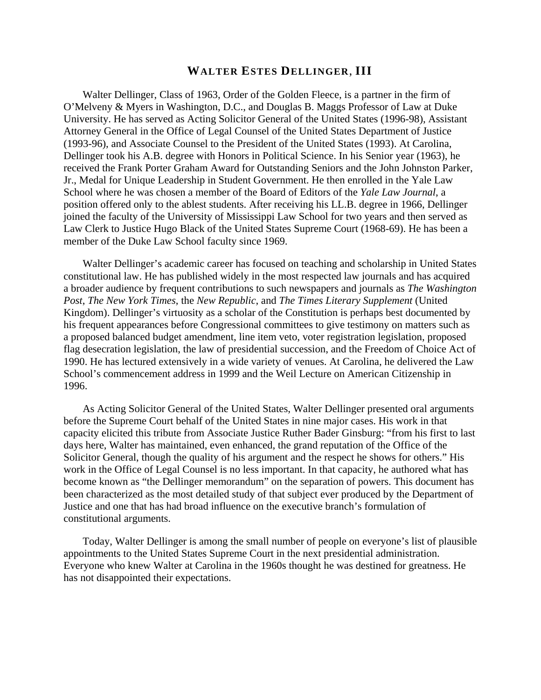# **WALTER ESTES DELLINGER**, **III**

Walter Dellinger, Class of 1963, Order of the Golden Fleece, is a partner in the firm of O'Melveny & Myers in Washington, D.C., and Douglas B. Maggs Professor of Law at Duke University. He has served as Acting Solicitor General of the United States (1996-98), Assistant Attorney General in the Office of Legal Counsel of the United States Department of Justice (1993-96), and Associate Counsel to the President of the United States (1993). At Carolina, Dellinger took his A.B. degree with Honors in Political Science. In his Senior year (1963), he received the Frank Porter Graham Award for Outstanding Seniors and the John Johnston Parker, Jr., Medal for Unique Leadership in Student Government. He then enrolled in the Yale Law School where he was chosen a member of the Board of Editors of the *Yale Law Journal*, a position offered only to the ablest students. After receiving his LL.B. degree in 1966, Dellinger joined the faculty of the University of Mississippi Law School for two years and then served as Law Clerk to Justice Hugo Black of the United States Supreme Court (1968-69). He has been a member of the Duke Law School faculty since 1969.

Walter Dellinger's academic career has focused on teaching and scholarship in United States constitutional law. He has published widely in the most respected law journals and has acquired a broader audience by frequent contributions to such newspapers and journals as *The Washington Post*, *The New York Times*, the *New Republic*, and *The Times Literary Supplement* (United Kingdom). Dellinger's virtuosity as a scholar of the Constitution is perhaps best documented by his frequent appearances before Congressional committees to give testimony on matters such as a proposed balanced budget amendment, line item veto, voter registration legislation, proposed flag desecration legislation, the law of presidential succession, and the Freedom of Choice Act of 1990. He has lectured extensively in a wide variety of venues. At Carolina, he delivered the Law School's commencement address in 1999 and the Weil Lecture on American Citizenship in 1996.

As Acting Solicitor General of the United States, Walter Dellinger presented oral arguments before the Supreme Court behalf of the United States in nine major cases. His work in that capacity elicited this tribute from Associate Justice Ruther Bader Ginsburg: "from his first to last days here, Walter has maintained, even enhanced, the grand reputation of the Office of the Solicitor General, though the quality of his argument and the respect he shows for others." His work in the Office of Legal Counsel is no less important. In that capacity, he authored what has become known as "the Dellinger memorandum" on the separation of powers. This document has been characterized as the most detailed study of that subject ever produced by the Department of Justice and one that has had broad influence on the executive branch's formulation of constitutional arguments.

Today, Walter Dellinger is among the small number of people on everyone's list of plausible appointments to the United States Supreme Court in the next presidential administration. Everyone who knew Walter at Carolina in the 1960s thought he was destined for greatness. He has not disappointed their expectations.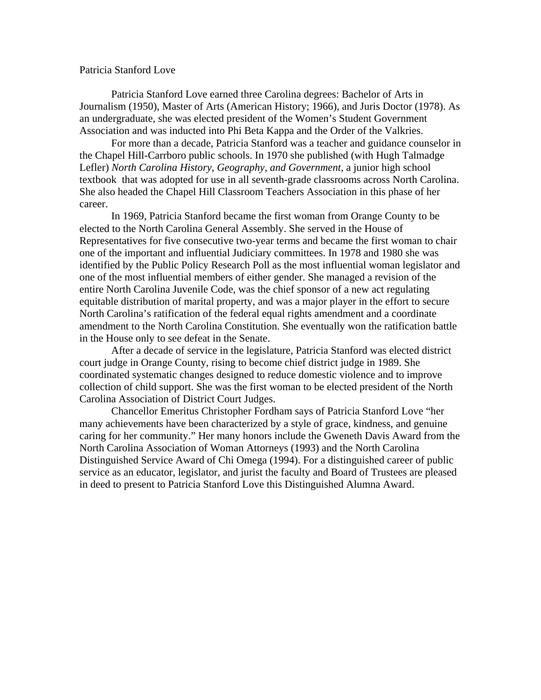#### Patricia Stanford Love

Patricia Stanford Love earned three Carolina degrees: Bachelor of Arts in Journalism (1950), Master of Arts (American History; 1966), and Juris Doctor (1978). As an undergraduate, she was elected president of the Women's Student Government Association and was inducted into Phi Beta Kappa and the Order of the Valkries.

 For more than a decade, Patricia Stanford was a teacher and guidance counselor in the Chapel Hill-Carrboro public schools. In 1970 she published (with Hugh Talmadge Lefler) *North Carolina History, Geography, and Government*, a junior high school textbook that was adopted for use in all seventh-grade classrooms across North Carolina. She also headed the Chapel Hill Classroom Teachers Association in this phase of her career.

 In 1969, Patricia Stanford became the first woman from Orange County to be elected to the North Carolina General Assembly. She served in the House of Representatives for five consecutive two-year terms and became the first woman to chair one of the important and influential Judiciary committees. In 1978 and 1980 she was identified by the Public Policy Research Poll as the most influential woman legislator and one of the most influential members of either gender. She managed a revision of the entire North Carolina Juvenile Code, was the chief sponsor of a new act regulating equitable distribution of marital property, and was a major player in the effort to secure North Carolina's ratification of the federal equal rights amendment and a coordinate amendment to the North Carolina Constitution. She eventually won the ratification battle in the House only to see defeat in the Senate.

 After a decade of service in the legislature, Patricia Stanford was elected district court judge in Orange County, rising to become chief district judge in 1989. She coordinated systematic changes designed to reduce domestic violence and to improve collection of child support. She was the first woman to be elected president of the North Carolina Association of District Court Judges.

 Chancellor Emeritus Christopher Fordham says of Patricia Stanford Love "her many achievements have been characterized by a style of grace, kindness, and genuine caring for her community." Her many honors include the Gweneth Davis Award from the North Carolina Association of Woman Attorneys (1993) and the North Carolina Distinguished Service Award of Chi Omega (1994). For a distinguished career of public service as an educator, legislator, and jurist the faculty and Board of Trustees are pleased in deed to present to Patricia Stanford Love this Distinguished Alumna Award.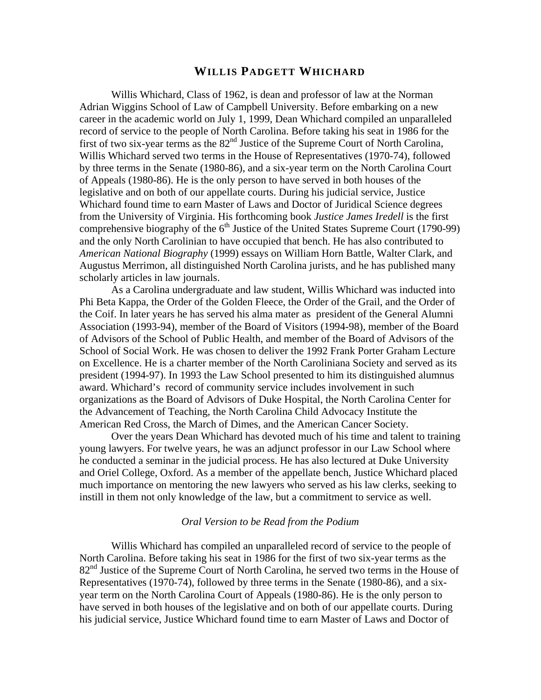## **WILLIS PADGETT WHICHARD**

Willis Whichard, Class of 1962, is dean and professor of law at the Norman Adrian Wiggins School of Law of Campbell University. Before embarking on a new career in the academic world on July 1, 1999, Dean Whichard compiled an unparalleled record of service to the people of North Carolina. Before taking his seat in 1986 for the first of two six-year terms as the 82<sup>nd</sup> Justice of the Supreme Court of North Carolina, Willis Whichard served two terms in the House of Representatives (1970-74), followed by three terms in the Senate (1980-86), and a six-year term on the North Carolina Court of Appeals (1980-86). He is the only person to have served in both houses of the legislative and on both of our appellate courts. During his judicial service, Justice Whichard found time to earn Master of Laws and Doctor of Juridical Science degrees from the University of Virginia. His forthcoming book *Justice James Iredell* is the first comprehensive biography of the  $6<sup>th</sup>$  Justice of the United States Supreme Court (1790-99) and the only North Carolinian to have occupied that bench. He has also contributed to *American National Biography* (1999) essays on William Horn Battle, Walter Clark, and Augustus Merrimon, all distinguished North Carolina jurists, and he has published many scholarly articles in law journals.

As a Carolina undergraduate and law student, Willis Whichard was inducted into Phi Beta Kappa, the Order of the Golden Fleece, the Order of the Grail, and the Order of the Coif. In later years he has served his alma mater as president of the General Alumni Association (1993-94), member of the Board of Visitors (1994-98), member of the Board of Advisors of the School of Public Health, and member of the Board of Advisors of the School of Social Work. He was chosen to deliver the 1992 Frank Porter Graham Lecture on Excellence. He is a charter member of the North Caroliniana Society and served as its president (1994-97). In 1993 the Law School presented to him its distinguished alumnus award. Whichard's record of community service includes involvement in such organizations as the Board of Advisors of Duke Hospital, the North Carolina Center for the Advancement of Teaching, the North Carolina Child Advocacy Institute the American Red Cross, the March of Dimes, and the American Cancer Society.

Over the years Dean Whichard has devoted much of his time and talent to training young lawyers. For twelve years, he was an adjunct professor in our Law School where he conducted a seminar in the judicial process. He has also lectured at Duke University and Oriel College, Oxford. As a member of the appellate bench, Justice Whichard placed much importance on mentoring the new lawyers who served as his law clerks, seeking to instill in them not only knowledge of the law, but a commitment to service as well.

#### *Oral Version to be Read from the Podium*

Willis Whichard has compiled an unparalleled record of service to the people of North Carolina. Before taking his seat in 1986 for the first of two six-year terms as the 82<sup>nd</sup> Justice of the Supreme Court of North Carolina, he served two terms in the House of Representatives (1970-74), followed by three terms in the Senate (1980-86), and a sixyear term on the North Carolina Court of Appeals (1980-86). He is the only person to have served in both houses of the legislative and on both of our appellate courts. During his judicial service, Justice Whichard found time to earn Master of Laws and Doctor of